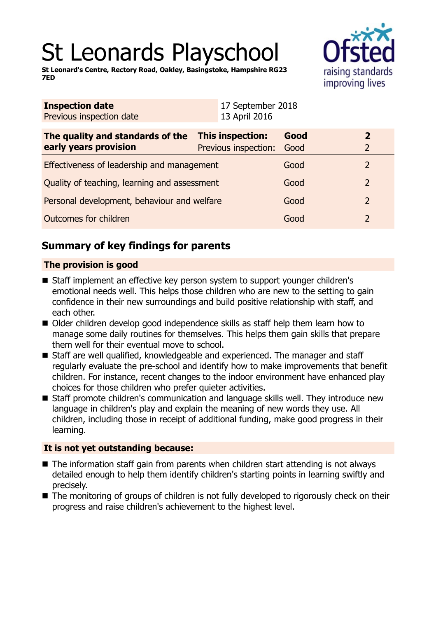# St Leonards Playschool

**St Leonard's Centre, Rectory Road, Oakley, Basingstoke, Hampshire RG23 7ED**



| <b>Inspection date</b><br>Previous inspection date        | 17 September 2018<br>13 April 2016              |              |                                  |
|-----------------------------------------------------------|-------------------------------------------------|--------------|----------------------------------|
| The quality and standards of the<br>early years provision | <b>This inspection:</b><br>Previous inspection: | Good<br>Good | $\overline{2}$<br>$\overline{2}$ |
| Effectiveness of leadership and management                |                                                 | Good         | $\overline{2}$                   |
| Quality of teaching, learning and assessment              |                                                 | Good         | $\overline{2}$                   |
| Personal development, behaviour and welfare               |                                                 | Good         | $\overline{2}$                   |
| Outcomes for children                                     |                                                 | Good         | $\overline{2}$                   |

# **Summary of key findings for parents**

## **The provision is good**

- Staff implement an effective key person system to support younger children's emotional needs well. This helps those children who are new to the setting to gain confidence in their new surroundings and build positive relationship with staff, and each other.
- Older children develop good independence skills as staff help them learn how to manage some daily routines for themselves. This helps them gain skills that prepare them well for their eventual move to school.
- Staff are well qualified, knowledgeable and experienced. The manager and staff regularly evaluate the pre-school and identify how to make improvements that benefit children. For instance, recent changes to the indoor environment have enhanced play choices for those children who prefer quieter activities.
- Staff promote children's communication and language skills well. They introduce new language in children's play and explain the meaning of new words they use. All children, including those in receipt of additional funding, make good progress in their learning.

## **It is not yet outstanding because:**

- $\blacksquare$  The information staff gain from parents when children start attending is not always detailed enough to help them identify children's starting points in learning swiftly and precisely.
- $\blacksquare$  The monitoring of groups of children is not fully developed to rigorously check on their progress and raise children's achievement to the highest level.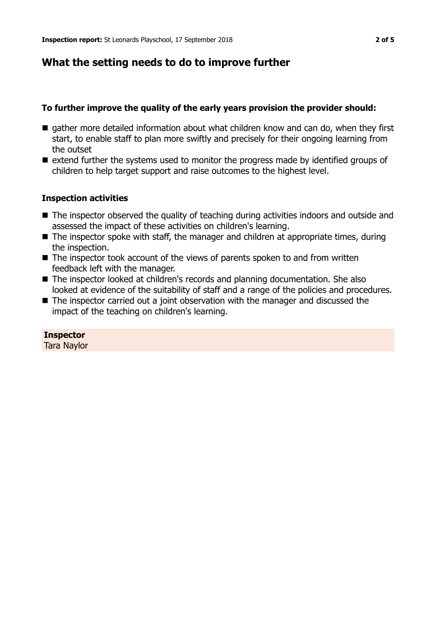# **What the setting needs to do to improve further**

### **To further improve the quality of the early years provision the provider should:**

- $\blacksquare$  gather more detailed information about what children know and can do, when they first start, to enable staff to plan more swiftly and precisely for their ongoing learning from the outset
- $\blacksquare$  extend further the systems used to monitor the progress made by identified groups of children to help target support and raise outcomes to the highest level.

#### **Inspection activities**

- $\blacksquare$  The inspector observed the quality of teaching during activities indoors and outside and assessed the impact of these activities on children's learning.
- $\blacksquare$  The inspector spoke with staff, the manager and children at appropriate times, during the inspection.
- $\blacksquare$  The inspector took account of the views of parents spoken to and from written feedback left with the manager.
- The inspector looked at children's records and planning documentation. She also looked at evidence of the suitability of staff and a range of the policies and procedures.
- $\blacksquare$  The inspector carried out a joint observation with the manager and discussed the impact of the teaching on children's learning.

## **Inspector**

Tara Naylor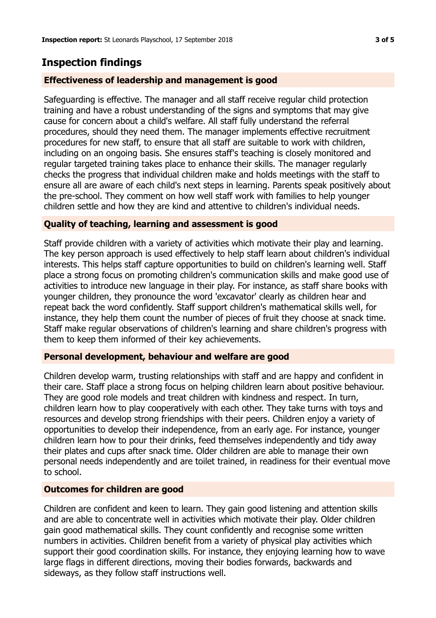# **Inspection findings**

#### **Effectiveness of leadership and management is good**

Safeguarding is effective. The manager and all staff receive regular child protection training and have a robust understanding of the signs and symptoms that may give cause for concern about a child's welfare. All staff fully understand the referral procedures, should they need them. The manager implements effective recruitment procedures for new staff, to ensure that all staff are suitable to work with children, including on an ongoing basis. She ensures staff's teaching is closely monitored and regular targeted training takes place to enhance their skills. The manager regularly checks the progress that individual children make and holds meetings with the staff to ensure all are aware of each child's next steps in learning. Parents speak positively about the pre-school. They comment on how well staff work with families to help younger children settle and how they are kind and attentive to children's individual needs.

#### **Quality of teaching, learning and assessment is good**

Staff provide children with a variety of activities which motivate their play and learning. The key person approach is used effectively to help staff learn about children's individual interests. This helps staff capture opportunities to build on children's learning well. Staff place a strong focus on promoting children's communication skills and make good use of activities to introduce new language in their play. For instance, as staff share books with younger children, they pronounce the word 'excavator' clearly as children hear and repeat back the word confidently. Staff support children's mathematical skills well, for instance, they help them count the number of pieces of fruit they choose at snack time. Staff make regular observations of children's learning and share children's progress with them to keep them informed of their key achievements.

#### **Personal development, behaviour and welfare are good**

Children develop warm, trusting relationships with staff and are happy and confident in their care. Staff place a strong focus on helping children learn about positive behaviour. They are good role models and treat children with kindness and respect. In turn, children learn how to play cooperatively with each other. They take turns with toys and resources and develop strong friendships with their peers. Children enjoy a variety of opportunities to develop their independence, from an early age. For instance, younger children learn how to pour their drinks, feed themselves independently and tidy away their plates and cups after snack time. Older children are able to manage their own personal needs independently and are toilet trained, in readiness for their eventual move to school.

#### **Outcomes for children are good**

Children are confident and keen to learn. They gain good listening and attention skills and are able to concentrate well in activities which motivate their play. Older children gain good mathematical skills. They count confidently and recognise some written numbers in activities. Children benefit from a variety of physical play activities which support their good coordination skills. For instance, they enjoying learning how to wave large flags in different directions, moving their bodies forwards, backwards and sideways, as they follow staff instructions well.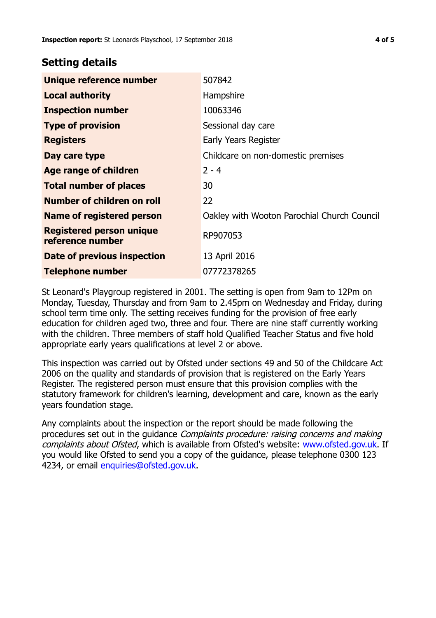## **Setting details**

| Unique reference number                             | 507842                                      |  |
|-----------------------------------------------------|---------------------------------------------|--|
| <b>Local authority</b>                              | Hampshire                                   |  |
| <b>Inspection number</b>                            | 10063346                                    |  |
| <b>Type of provision</b>                            | Sessional day care                          |  |
| <b>Registers</b>                                    | Early Years Register                        |  |
| Day care type                                       | Childcare on non-domestic premises          |  |
| <b>Age range of children</b>                        | $2 - 4$                                     |  |
| <b>Total number of places</b>                       | 30                                          |  |
| Number of children on roll                          | 22                                          |  |
| <b>Name of registered person</b>                    | Oakley with Wooton Parochial Church Council |  |
| <b>Registered person unique</b><br>reference number | RP907053                                    |  |
| Date of previous inspection                         | 13 April 2016                               |  |
| <b>Telephone number</b>                             | 07772378265                                 |  |

St Leonard's Playgroup registered in 2001. The setting is open from 9am to 12Pm on Monday, Tuesday, Thursday and from 9am to 2.45pm on Wednesday and Friday, during school term time only. The setting receives funding for the provision of free early education for children aged two, three and four. There are nine staff currently working with the children. Three members of staff hold Qualified Teacher Status and five hold appropriate early years qualifications at level 2 or above.

This inspection was carried out by Ofsted under sections 49 and 50 of the Childcare Act 2006 on the quality and standards of provision that is registered on the Early Years Register. The registered person must ensure that this provision complies with the statutory framework for children's learning, development and care, known as the early years foundation stage.

Any complaints about the inspection or the report should be made following the procedures set out in the guidance Complaints procedure: raising concerns and making complaints about Ofsted, which is available from Ofsted's website: www.ofsted.gov.uk. If you would like Ofsted to send you a copy of the guidance, please telephone 0300 123 4234, or email [enquiries@ofsted.gov.uk.](mailto:enquiries@ofsted.gov.uk)